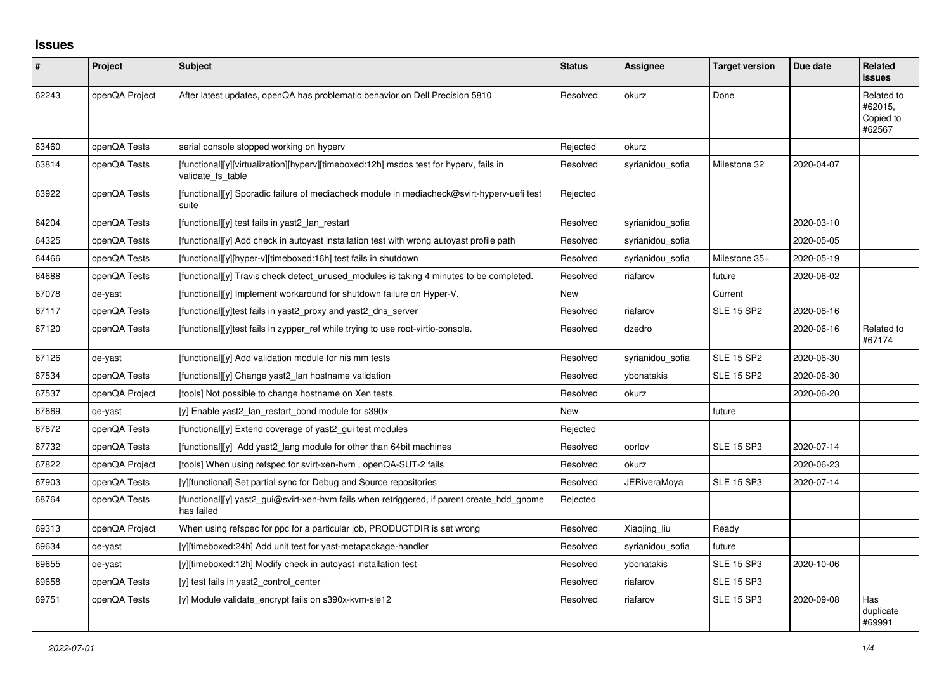## **Issues**

| #     | Project        | Subject                                                                                                     | <b>Status</b> | Assignee         | <b>Target version</b> | Due date   | <b>Related</b><br><b>issues</b>              |
|-------|----------------|-------------------------------------------------------------------------------------------------------------|---------------|------------------|-----------------------|------------|----------------------------------------------|
| 62243 | openQA Project | After latest updates, openQA has problematic behavior on Dell Precision 5810                                | Resolved      | okurz            | Done                  |            | Related to<br>#62015,<br>Copied to<br>#62567 |
| 63460 | openQA Tests   | serial console stopped working on hyperv                                                                    | Rejected      | okurz            |                       |            |                                              |
| 63814 | openQA Tests   | [functional][y][virtualization][hyperv][timeboxed:12h] msdos test for hyperv, fails in<br>validate fs table | Resolved      | syrianidou_sofia | Milestone 32          | 2020-04-07 |                                              |
| 63922 | openQA Tests   | [functional][y] Sporadic failure of mediacheck module in mediacheck@svirt-hyperv-uefi test<br>suite         | Rejected      |                  |                       |            |                                              |
| 64204 | openQA Tests   | [functional][y] test fails in yast2 lan restart                                                             | Resolved      | syrianidou sofia |                       | 2020-03-10 |                                              |
| 64325 | openQA Tests   | [functional][y] Add check in autoyast installation test with wrong autoyast profile path                    | Resolved      | syrianidou sofia |                       | 2020-05-05 |                                              |
| 64466 | openQA Tests   | [functional][y][hyper-v][timeboxed:16h] test fails in shutdown                                              | Resolved      | syrianidou_sofia | Milestone 35+         | 2020-05-19 |                                              |
| 64688 | openQA Tests   | $[functional]$ Travis check detect unused modules is taking 4 minutes to be completed.                      | Resolved      | riafarov         | future                | 2020-06-02 |                                              |
| 67078 | qe-yast        | [functional][y] Implement workaround for shutdown failure on Hyper-V.                                       | New           |                  | Current               |            |                                              |
| 67117 | openQA Tests   | [functional][y]test fails in yast2 proxy and yast2 dns server                                               | Resolved      | riafarov         | <b>SLE 15 SP2</b>     | 2020-06-16 |                                              |
| 67120 | openQA Tests   | [functional][y]test fails in zypper_ref while trying to use root-virtio-console.                            | Resolved      | dzedro           |                       | 2020-06-16 | Related to<br>#67174                         |
| 67126 | qe-yast        | [functional][y] Add validation module for nis mm tests                                                      | Resolved      | syrianidou sofia | <b>SLE 15 SP2</b>     | 2020-06-30 |                                              |
| 67534 | openQA Tests   | [functional][y] Change yast2_lan hostname validation                                                        | Resolved      | ybonatakis       | <b>SLE 15 SP2</b>     | 2020-06-30 |                                              |
| 67537 | openQA Project | [tools] Not possible to change hostname on Xen tests.                                                       | Resolved      | okurz            |                       | 2020-06-20 |                                              |
| 67669 | qe-yast        | [y] Enable yast2 lan restart bond module for s390x                                                          | New           |                  | future                |            |                                              |
| 67672 | openQA Tests   | [functional][y] Extend coverage of yast2_gui test modules                                                   | Rejected      |                  |                       |            |                                              |
| 67732 | openQA Tests   | [functional][y] Add yast2 lang module for other than 64bit machines                                         | Resolved      | oorlov           | <b>SLE 15 SP3</b>     | 2020-07-14 |                                              |
| 67822 | openQA Project | [tools] When using refspec for svirt-xen-hvm, openQA-SUT-2 fails                                            | Resolved      | okurz            |                       | 2020-06-23 |                                              |
| 67903 | openQA Tests   | [y][functional] Set partial sync for Debug and Source repositories                                          | Resolved      | JERiveraMoya     | <b>SLE 15 SP3</b>     | 2020-07-14 |                                              |
| 68764 | openQA Tests   | [functional][y] yast2_gui@svirt-xen-hvm fails when retriggered, if parent create_hdd_gnome<br>has failed    | Rejected      |                  |                       |            |                                              |
| 69313 | openQA Project | When using refspec for ppc for a particular job, PRODUCTDIR is set wrong                                    | Resolved      | Xiaojing liu     | Ready                 |            |                                              |
| 69634 | qe-yast        | [y][timeboxed:24h] Add unit test for yast-metapackage-handler                                               | Resolved      | syrianidou sofia | future                |            |                                              |
| 69655 | qe-yast        | [y][timeboxed:12h] Modify check in autoyast installation test                                               | Resolved      | ybonatakis       | <b>SLE 15 SP3</b>     | 2020-10-06 |                                              |
| 69658 | openQA Tests   | [y] test fails in yast2 control center                                                                      | Resolved      | riafarov         | <b>SLE 15 SP3</b>     |            |                                              |
| 69751 | openQA Tests   | [y] Module validate encrypt fails on s390x-kvm-sle12                                                        | Resolved      | riafarov         | <b>SLE 15 SP3</b>     | 2020-09-08 | Has<br>duplicate<br>#69991                   |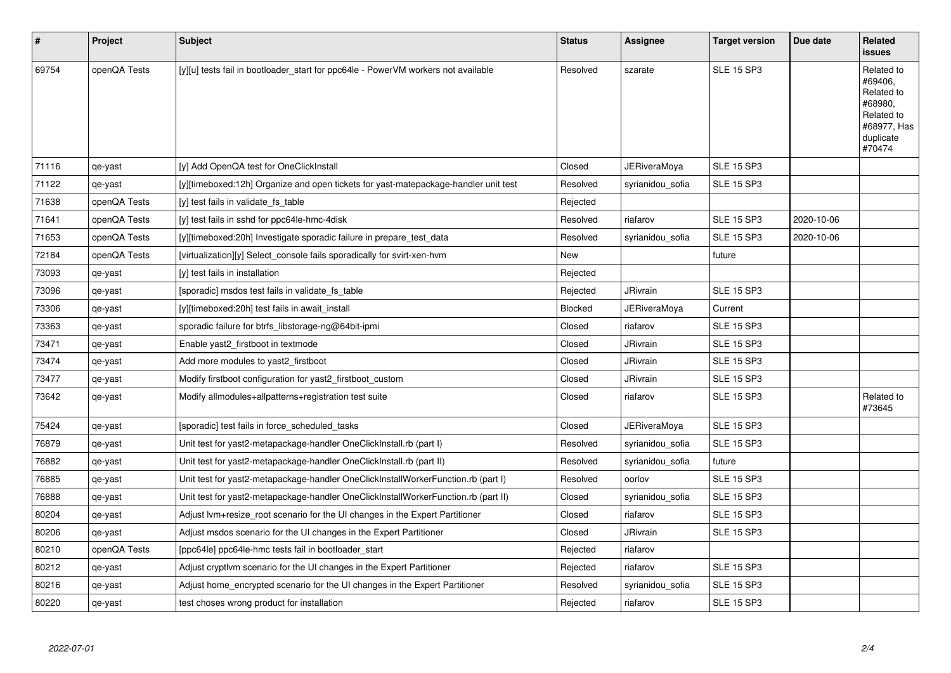| $\vert$ # | Project      | <b>Subject</b>                                                                      | <b>Status</b> | Assignee            | <b>Target version</b> | Due date   | Related<br>issues                                                                                  |
|-----------|--------------|-------------------------------------------------------------------------------------|---------------|---------------------|-----------------------|------------|----------------------------------------------------------------------------------------------------|
| 69754     | openQA Tests | [y][u] tests fail in bootloader start for ppc64le - PowerVM workers not available   | Resolved      | szarate             | <b>SLE 15 SP3</b>     |            | Related to<br>#69406,<br>Related to<br>#68980,<br>Related to<br>#68977, Has<br>duplicate<br>#70474 |
| 71116     | qe-yast      | [y] Add OpenQA test for OneClickInstall                                             | Closed        | <b>JERiveraMoya</b> | <b>SLE 15 SP3</b>     |            |                                                                                                    |
| 71122     | qe-yast      | [y][timeboxed:12h] Organize and open tickets for yast-matepackage-handler unit test | Resolved      | syrianidou_sofia    | <b>SLE 15 SP3</b>     |            |                                                                                                    |
| 71638     | openQA Tests | [y] test fails in validate fs_table                                                 | Rejected      |                     |                       |            |                                                                                                    |
| 71641     | openQA Tests | [y] test fails in sshd for ppc64le-hmc-4disk                                        | Resolved      | riafarov            | <b>SLE 15 SP3</b>     | 2020-10-06 |                                                                                                    |
| 71653     | openQA Tests | [y][timeboxed:20h] Investigate sporadic failure in prepare test data                | Resolved      | syrianidou sofia    | <b>SLE 15 SP3</b>     | 2020-10-06 |                                                                                                    |
| 72184     | openQA Tests | [virtualization][y] Select_console fails sporadically for svirt-xen-hvm             | <b>New</b>    |                     | future                |            |                                                                                                    |
| 73093     | qe-yast      | [y] test fails in installation                                                      | Rejected      |                     |                       |            |                                                                                                    |
| 73096     | qe-yast      | [sporadic] msdos test fails in validate fs table                                    | Rejected      | JRivrain            | <b>SLE 15 SP3</b>     |            |                                                                                                    |
| 73306     | qe-yast      | [y][timeboxed:20h] test fails in await install                                      | Blocked       | JERiveraMoya        | Current               |            |                                                                                                    |
| 73363     | qe-yast      | sporadic failure for btrfs_libstorage-ng@64bit-ipmi                                 | Closed        | riafarov            | <b>SLE 15 SP3</b>     |            |                                                                                                    |
| 73471     | qe-yast      | Enable yast2 firstboot in textmode                                                  | Closed        | <b>JRivrain</b>     | <b>SLE 15 SP3</b>     |            |                                                                                                    |
| 73474     | qe-yast      | Add more modules to yast2 firstboot                                                 | Closed        | JRivrain            | <b>SLE 15 SP3</b>     |            |                                                                                                    |
| 73477     | qe-yast      | Modify firstboot configuration for yast2_firstboot_custom                           | Closed        | <b>JRivrain</b>     | <b>SLE 15 SP3</b>     |            |                                                                                                    |
| 73642     | qe-yast      | Modify allmodules+allpatterns+registration test suite                               | Closed        | riafarov            | <b>SLE 15 SP3</b>     |            | Related to<br>#73645                                                                               |
| 75424     | qe-yast      | [sporadic] test fails in force scheduled tasks                                      | Closed        | JERiveraMoya        | <b>SLE 15 SP3</b>     |            |                                                                                                    |
| 76879     | qe-yast      | Unit test for yast2-metapackage-handler OneClickInstall.rb (part I)                 | Resolved      | syrianidou_sofia    | <b>SLE 15 SP3</b>     |            |                                                                                                    |
| 76882     | qe-yast      | Unit test for yast2-metapackage-handler OneClickInstall.rb (part II)                | Resolved      | syrianidou sofia    | future                |            |                                                                                                    |
| 76885     | qe-yast      | Unit test for yast2-metapackage-handler OneClickInstallWorkerFunction.rb (part I)   | Resolved      | oorlov              | <b>SLE 15 SP3</b>     |            |                                                                                                    |
| 76888     | qe-yast      | Unit test for yast2-metapackage-handler OneClickInstallWorkerFunction.rb (part II)  | Closed        | syrianidou sofia    | <b>SLE 15 SP3</b>     |            |                                                                                                    |
| 80204     | qe-yast      | Adjust lvm+resize_root scenario for the UI changes in the Expert Partitioner        | Closed        | riafarov            | <b>SLE 15 SP3</b>     |            |                                                                                                    |
| 80206     | qe-yast      | Adjust msdos scenario for the UI changes in the Expert Partitioner                  | Closed        | JRivrain            | <b>SLE 15 SP3</b>     |            |                                                                                                    |
| 80210     | openQA Tests | [ppc64le] ppc64le-hmc tests fail in bootloader start                                | Rejected      | riafarov            |                       |            |                                                                                                    |
| 80212     | qe-yast      | Adjust cryptivm scenario for the UI changes in the Expert Partitioner               | Rejected      | riafarov            | <b>SLE 15 SP3</b>     |            |                                                                                                    |
| 80216     | qe-yast      | Adjust home_encrypted scenario for the UI changes in the Expert Partitioner         | Resolved      | syrianidou_sofia    | <b>SLE 15 SP3</b>     |            |                                                                                                    |
| 80220     | qe-yast      | test choses wrong product for installation                                          | Rejected      | riafarov            | <b>SLE 15 SP3</b>     |            |                                                                                                    |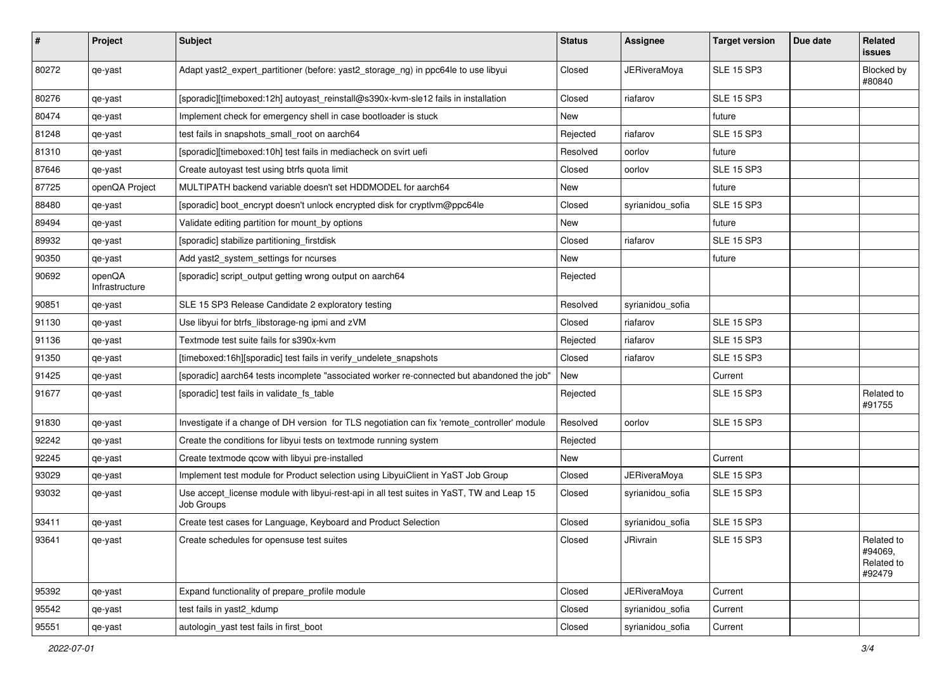| #     | Project                  | Subject                                                                                                 | <b>Status</b> | <b>Assignee</b>     | <b>Target version</b> | Due date | Related<br>issues                             |
|-------|--------------------------|---------------------------------------------------------------------------------------------------------|---------------|---------------------|-----------------------|----------|-----------------------------------------------|
| 80272 | qe-yast                  | Adapt yast2_expert_partitioner (before: yast2_storage_ng) in ppc64le to use libyui                      | Closed        | <b>JERiveraMoya</b> | <b>SLE 15 SP3</b>     |          | Blocked by<br>#80840                          |
| 80276 | qe-yast                  | [sporadic][timeboxed:12h] autoyast_reinstall@s390x-kvm-sle12 fails in installation                      | Closed        | riafarov            | <b>SLE 15 SP3</b>     |          |                                               |
| 80474 | qe-yast                  | Implement check for emergency shell in case bootloader is stuck                                         | <b>New</b>    |                     | future                |          |                                               |
| 81248 | qe-yast                  | test fails in snapshots_small_root on aarch64                                                           | Rejected      | riafarov            | <b>SLE 15 SP3</b>     |          |                                               |
| 81310 | qe-yast                  | [sporadic][timeboxed:10h] test fails in mediacheck on svirt uefi                                        | Resolved      | oorlov              | future                |          |                                               |
| 87646 | qe-yast                  | Create autoyast test using btrfs quota limit                                                            | Closed        | oorlov              | <b>SLE 15 SP3</b>     |          |                                               |
| 87725 | openQA Project           | MULTIPATH backend variable doesn't set HDDMODEL for aarch64                                             | New           |                     | future                |          |                                               |
| 88480 | qe-yast                  | [sporadic] boot_encrypt doesn't unlock encrypted disk for cryptlvm@ppc64le                              | Closed        | syrianidou_sofia    | <b>SLE 15 SP3</b>     |          |                                               |
| 89494 | qe-yast                  | Validate editing partition for mount_by options                                                         | New           |                     | future                |          |                                               |
| 89932 | qe-yast                  | [sporadic] stabilize partitioning_firstdisk                                                             | Closed        | riafarov            | <b>SLE 15 SP3</b>     |          |                                               |
| 90350 | qe-yast                  | Add yast2_system_settings for ncurses                                                                   | New           |                     | future                |          |                                               |
| 90692 | openQA<br>Infrastructure | [sporadic] script_output getting wrong output on aarch64                                                | Rejected      |                     |                       |          |                                               |
| 90851 | qe-yast                  | SLE 15 SP3 Release Candidate 2 exploratory testing                                                      | Resolved      | syrianidou_sofia    |                       |          |                                               |
| 91130 | qe-yast                  | Use libyui for btrfs_libstorage-ng ipmi and zVM                                                         | Closed        | riafarov            | <b>SLE 15 SP3</b>     |          |                                               |
| 91136 | qe-yast                  | Textmode test suite fails for s390x-kvm                                                                 | Rejected      | riafarov            | <b>SLE 15 SP3</b>     |          |                                               |
| 91350 | qe-yast                  | [timeboxed:16h][sporadic] test fails in verify_undelete_snapshots                                       | Closed        | riafarov            | <b>SLE 15 SP3</b>     |          |                                               |
| 91425 | qe-yast                  | [sporadic] aarch64 tests incomplete "associated worker re-connected but abandoned the job"              | New           |                     | Current               |          |                                               |
| 91677 | qe-yast                  | [sporadic] test fails in validate_fs_table                                                              | Rejected      |                     | <b>SLE 15 SP3</b>     |          | Related to<br>#91755                          |
| 91830 | qe-yast                  | Investigate if a change of DH version for TLS negotiation can fix 'remote_controller' module            | Resolved      | oorlov              | <b>SLE 15 SP3</b>     |          |                                               |
| 92242 | qe-yast                  | Create the conditions for libyui tests on textmode running system                                       | Rejected      |                     |                       |          |                                               |
| 92245 | qe-yast                  | Create textmode qcow with libyui pre-installed                                                          | New           |                     | Current               |          |                                               |
| 93029 | qe-yast                  | Implement test module for Product selection using LibyuiClient in YaST Job Group                        | Closed        | <b>JERiveraMoya</b> | <b>SLE 15 SP3</b>     |          |                                               |
| 93032 | qe-yast                  | Use accept_license module with libyui-rest-api in all test suites in YaST, TW and Leap 15<br>Job Groups | Closed        | syrianidou_sofia    | <b>SLE 15 SP3</b>     |          |                                               |
| 93411 | qe-yast                  | Create test cases for Language, Keyboard and Product Selection                                          | Closed        | syrianidou_sofia    | <b>SLE 15 SP3</b>     |          |                                               |
| 93641 | qe-yast                  | Create schedules for opensuse test suites                                                               | Closed        | JRivrain            | <b>SLE 15 SP3</b>     |          | Related to<br>#94069,<br>Related to<br>#92479 |
| 95392 | qe-yast                  | Expand functionality of prepare_profile module                                                          | Closed        | <b>JERiveraMoya</b> | Current               |          |                                               |
| 95542 | qe-yast                  | test fails in yast2_kdump                                                                               | Closed        | syrianidou_sofia    | Current               |          |                                               |
| 95551 | qe-yast                  | autologin_yast test fails in first_boot                                                                 | Closed        | syrianidou_sofia    | Current               |          |                                               |